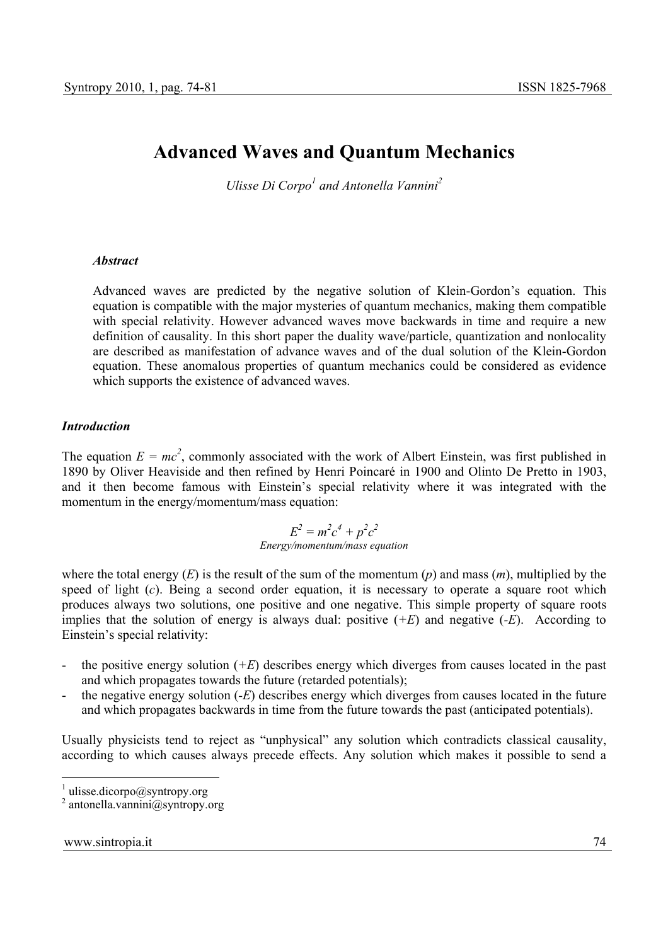# **Advanced Waves and Quantum Mechanics**

*Ulisse Di Corpo<sup>1</sup> and Antonella Vannini*<sup>2</sup>

#### *Abstract*

Advanced waves are predicted by the negative solution of Klein-Gordon's equation. This equation is compatible with the major mysteries of quantum mechanics, making them compatible with special relativity. However advanced waves move backwards in time and require a new definition of causality. In this short paper the duality wave/particle, quantization and nonlocality are described as manifestation of advance waves and of the dual solution of the Klein-Gordon equation. These anomalous properties of quantum mechanics could be considered as evidence which supports the existence of advanced waves.

#### *Introduction*

The equation  $E = mc^2$ , commonly associated with the work of Albert Einstein, was first published in 1890 by Oliver Heaviside and then refined by Henri Poincaré in 1900 and Olinto De Pretto in 1903, and it then become famous with Einstein's special relativity where it was integrated with the momentum in the energy/momentum/mass equation:

### $E^2 = m^2c^4 + p^2c^2$ *Energy/momentum/mass equation*

where the total energy  $(E)$  is the result of the sum of the momentum  $(p)$  and mass  $(m)$ , multiplied by the speed of light (*c*). Being a second order equation, it is necessary to operate a square root which produces always two solutions, one positive and one negative. This simple property of square roots implies that the solution of energy is always dual: positive (*+E*) and negative (*-E*). According to Einstein's special relativity:

- the positive energy solution  $(F)$  describes energy which diverges from causes located in the past and which propagates towards the future (retarded potentials);
- the negative energy solution (*-E*) describes energy which diverges from causes located in the future and which propagates backwards in time from the future towards the past (anticipated potentials).

Usually physicists tend to reject as "unphysical" any solution which contradicts classical causality, according to which causes always precede effects. Any solution which makes it possible to send a

 $\frac{1}{1}$  ulisse.dicorpo@syntropy.org

<sup>2</sup> antonella.vannini@syntropy.org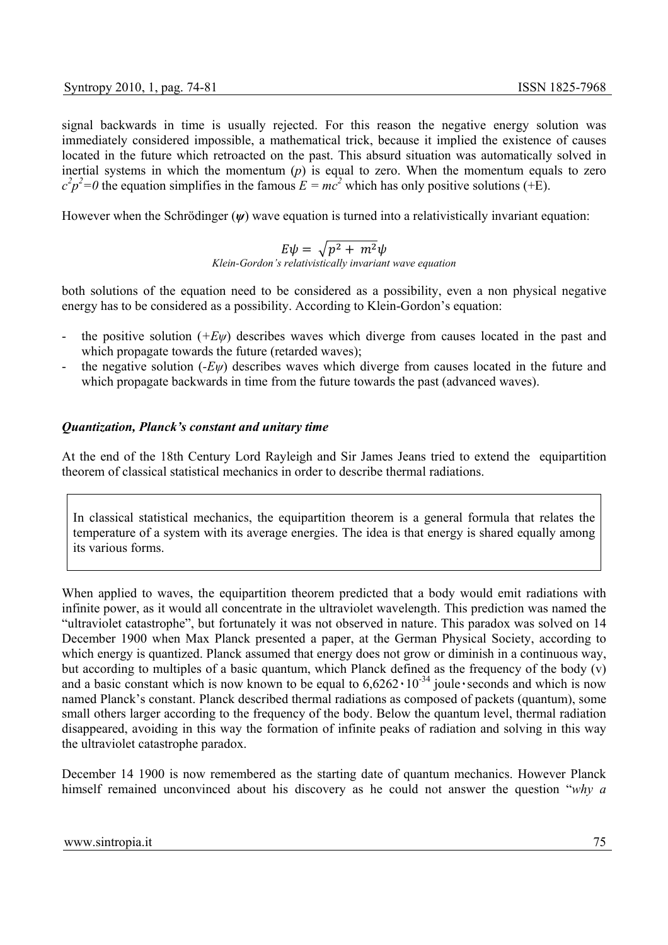signal backwards in time is usually rejected. For this reason the negative energy solution was immediately considered impossible, a mathematical trick, because it implied the existence of causes located in the future which retroacted on the past. This absurd situation was automatically solved in inertial systems in which the momentum (*p*) is equal to zero. When the momentum equals to zero  $c^2 p^2 = 0$  the equation simplifies in the famous  $E = mc^2$  which has only positive solutions (+E).

However when the Schrödinger ( $\psi$ ) wave equation is turned into a relativistically invariant equation:

 $E\psi = \sqrt{p^2 + m^2\psi}$ *Klein-Gordon's relativistically invariant wave equation* 

both solutions of the equation need to be considered as a possibility, even a non physical negative energy has to be considered as a possibility. According to Klein-Gordon's equation:

- the positive solution  $(FE\psi)$  describes waves which diverge from causes located in the past and which propagate towards the future (retarded waves);
- the negative solution  $(-E\psi)$  describes waves which diverge from causes located in the future and which propagate backwards in time from the future towards the past (advanced waves).

#### *Quantization, Planck's constant and unitary time*

At the end of the 18th Century Lord Rayleigh and Sir James Jeans tried to extend the equipartition theorem of classical statistical mechanics in order to describe thermal radiations.

In classical statistical mechanics, the equipartition theorem is a general formula that relates the temperature of a system with its average energies. The idea is that energy is shared equally among its various forms.

When applied to waves, the equipartition theorem predicted that a body would emit radiations with infinite power, as it would all concentrate in the ultraviolet wavelength. This prediction was named the "ultraviolet catastrophe", but fortunately it was not observed in nature. This paradox was solved on 14 December 1900 when Max Planck presented a paper, at the German Physical Society, according to which energy is quantized. Planck assumed that energy does not grow or diminish in a continuous way, but according to multiples of a basic quantum, which Planck defined as the frequency of the body (v) and a basic constant which is now known to be equal to  $6,6262 \cdot 10^{-34}$  joule seconds and which is now named Planck's constant. Planck described thermal radiations as composed of packets (quantum), some small others larger according to the frequency of the body. Below the quantum level, thermal radiation disappeared, avoiding in this way the formation of infinite peaks of radiation and solving in this way the ultraviolet catastrophe paradox.

December 14 1900 is now remembered as the starting date of quantum mechanics. However Planck himself remained unconvinced about his discovery as he could not answer the question "*why a*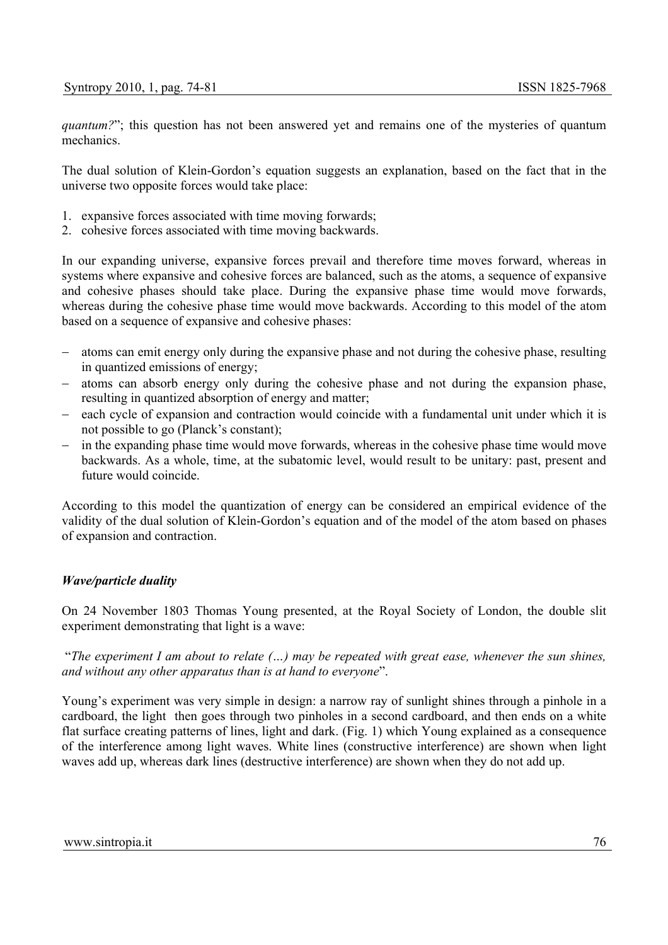*quantum?*"; this question has not been answered yet and remains one of the mysteries of quantum mechanics.

The dual solution of Klein-Gordon's equation suggests an explanation, based on the fact that in the universe two opposite forces would take place:

- 1. expansive forces associated with time moving forwards;
- 2. cohesive forces associated with time moving backwards.

In our expanding universe, expansive forces prevail and therefore time moves forward, whereas in systems where expansive and cohesive forces are balanced, such as the atoms, a sequence of expansive and cohesive phases should take place. During the expansive phase time would move forwards, whereas during the cohesive phase time would move backwards. According to this model of the atom based on a sequence of expansive and cohesive phases:

- atoms can emit energy only during the expansive phase and not during the cohesive phase, resulting in quantized emissions of energy;
- − atoms can absorb energy only during the cohesive phase and not during the expansion phase, resulting in quantized absorption of energy and matter;
- − each cycle of expansion and contraction would coincide with a fundamental unit under which it is not possible to go (Planck's constant);
- − in the expanding phase time would move forwards, whereas in the cohesive phase time would move backwards. As a whole, time, at the subatomic level, would result to be unitary: past, present and future would coincide.

According to this model the quantization of energy can be considered an empirical evidence of the validity of the dual solution of Klein-Gordon's equation and of the model of the atom based on phases of expansion and contraction.

#### *Wave/particle duality*

On 24 November 1803 Thomas Young presented, at the Royal Society of London, the double slit experiment demonstrating that light is a wave:

 "*The experiment I am about to relate (…) may be repeated with great ease, whenever the sun shines, and without any other apparatus than is at hand to everyone*".

Young's experiment was very simple in design: a narrow ray of sunlight shines through a pinhole in a cardboard, the light then goes through two pinholes in a second cardboard, and then ends on a white flat surface creating patterns of lines, light and dark. (Fig. 1) which Young explained as a consequence of the interference among light waves. White lines (constructive interference) are shown when light waves add up, whereas dark lines (destructive interference) are shown when they do not add up.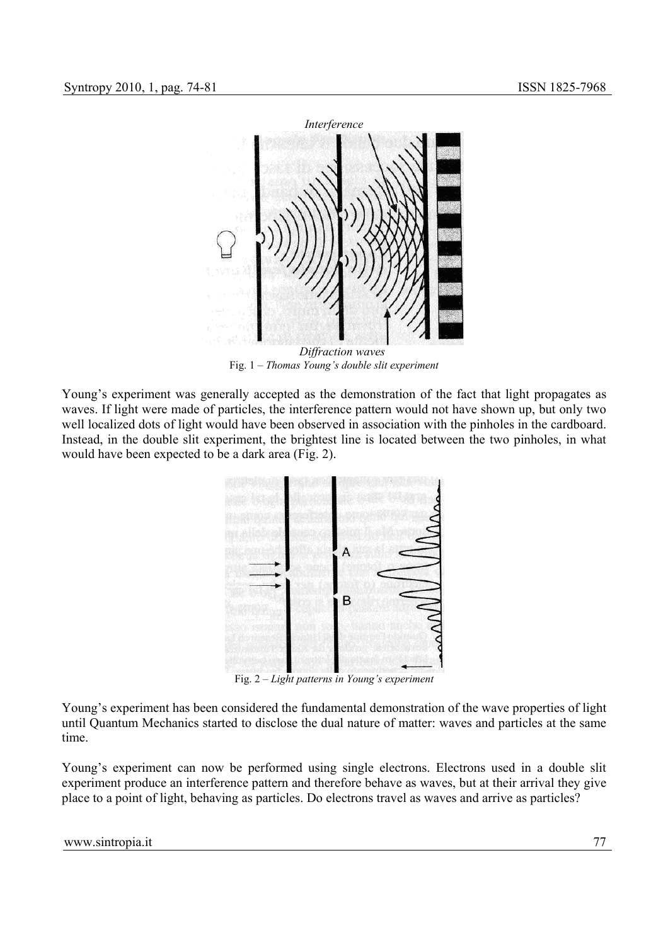

 *Diffraction waves*  Fig. 1 – *Thomas Young's double slit experiment* 

Young's experiment was generally accepted as the demonstration of the fact that light propagates as waves. If light were made of particles, the interference pattern would not have shown up, but only two well localized dots of light would have been observed in association with the pinholes in the cardboard. Instead, in the double slit experiment, the brightest line is located between the two pinholes, in what would have been expected to be a dark area (Fig. 2).



Fig. 2 – *Light patterns in Young's experiment* 

Young's experiment has been considered the fundamental demonstration of the wave properties of light until Quantum Mechanics started to disclose the dual nature of matter: waves and particles at the same time.

Young's experiment can now be performed using single electrons. Electrons used in a double slit experiment produce an interference pattern and therefore behave as waves, but at their arrival they give place to a point of light, behaving as particles. Do electrons travel as waves and arrive as particles?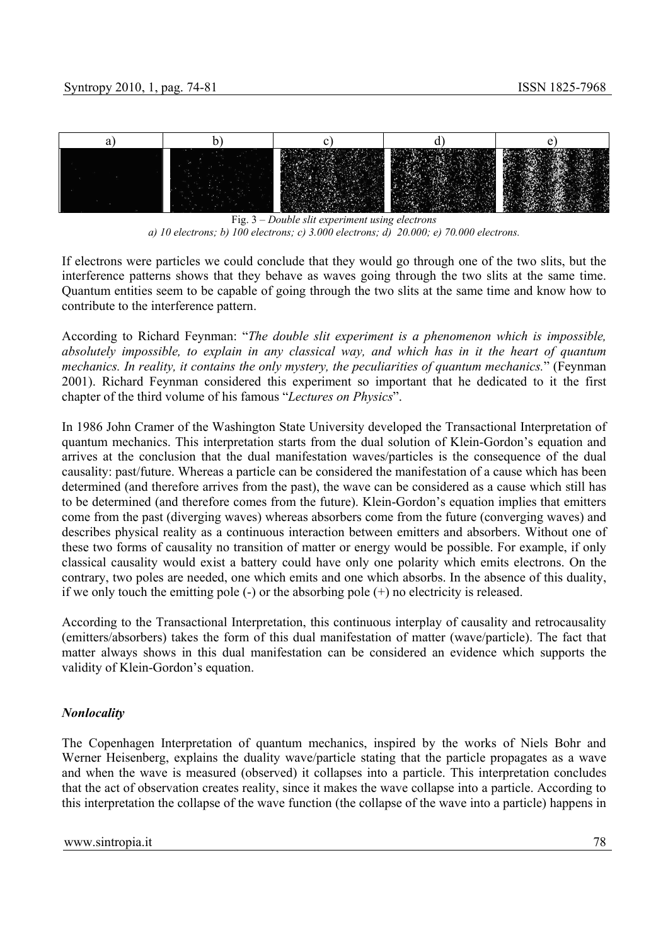

Fig. 3 – *Double slit experiment using electrons a) 10 electrons; b) 100 electrons; c) 3.000 electrons; d) 20.000; e) 70.000 electrons.* 

If electrons were particles we could conclude that they would go through one of the two slits, but the interference patterns shows that they behave as waves going through the two slits at the same time. Quantum entities seem to be capable of going through the two slits at the same time and know how to contribute to the interference pattern.

According to Richard Feynman: "*The double slit experiment is a phenomenon which is impossible, absolutely impossible, to explain in any classical way, and which has in it the heart of quantum mechanics. In reality, it contains the only mystery, the peculiarities of quantum mechanics.*" (Feynman 2001). Richard Feynman considered this experiment so important that he dedicated to it the first chapter of the third volume of his famous "*Lectures on Physics*".

In 1986 John Cramer of the Washington State University developed the Transactional Interpretation of quantum mechanics. This interpretation starts from the dual solution of Klein-Gordon's equation and arrives at the conclusion that the dual manifestation waves/particles is the consequence of the dual causality: past/future. Whereas a particle can be considered the manifestation of a cause which has been determined (and therefore arrives from the past), the wave can be considered as a cause which still has to be determined (and therefore comes from the future). Klein-Gordon's equation implies that emitters come from the past (diverging waves) whereas absorbers come from the future (converging waves) and describes physical reality as a continuous interaction between emitters and absorbers. Without one of these two forms of causality no transition of matter or energy would be possible. For example, if only classical causality would exist a battery could have only one polarity which emits electrons. On the contrary, two poles are needed, one which emits and one which absorbs. In the absence of this duality, if we only touch the emitting pole  $(-)$  or the absorbing pole  $(+)$  no electricity is released.

According to the Transactional Interpretation, this continuous interplay of causality and retrocausality (emitters/absorbers) takes the form of this dual manifestation of matter (wave/particle). The fact that matter always shows in this dual manifestation can be considered an evidence which supports the validity of Klein-Gordon's equation.

# *Nonlocality*

The Copenhagen Interpretation of quantum mechanics, inspired by the works of Niels Bohr and Werner Heisenberg, explains the duality wave/particle stating that the particle propagates as a wave and when the wave is measured (observed) it collapses into a particle. This interpretation concludes that the act of observation creates reality, since it makes the wave collapse into a particle. According to this interpretation the collapse of the wave function (the collapse of the wave into a particle) happens in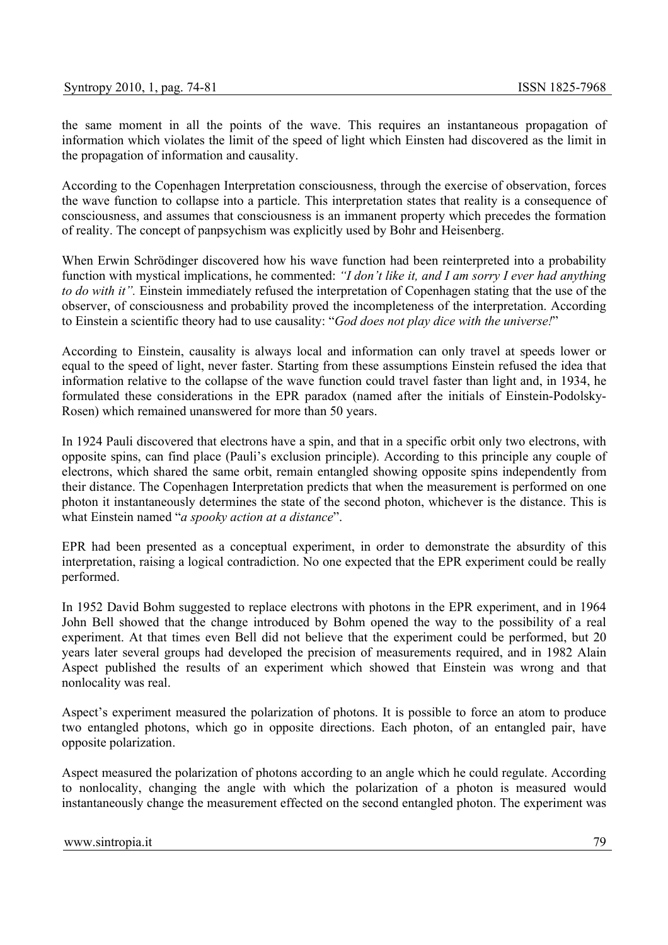the same moment in all the points of the wave. This requires an instantaneous propagation of information which violates the limit of the speed of light which Einsten had discovered as the limit in the propagation of information and causality.

According to the Copenhagen Interpretation consciousness, through the exercise of observation, forces the wave function to collapse into a particle. This interpretation states that reality is a consequence of consciousness, and assumes that consciousness is an immanent property which precedes the formation of reality. The concept of panpsychism was explicitly used by Bohr and Heisenberg.

When Erwin Schrödinger discovered how his wave function had been reinterpreted into a probability function with mystical implications, he commented: *"I don't like it, and I am sorry I ever had anything to do with it".* Einstein immediately refused the interpretation of Copenhagen stating that the use of the observer, of consciousness and probability proved the incompleteness of the interpretation. According to Einstein a scientific theory had to use causality: "*God does not play dice with the universe!*"

According to Einstein, causality is always local and information can only travel at speeds lower or equal to the speed of light, never faster. Starting from these assumptions Einstein refused the idea that information relative to the collapse of the wave function could travel faster than light and, in 1934, he formulated these considerations in the EPR paradox (named after the initials of Einstein-Podolsky-Rosen) which remained unanswered for more than 50 years.

In 1924 Pauli discovered that electrons have a spin, and that in a specific orbit only two electrons, with opposite spins, can find place (Pauli's exclusion principle). According to this principle any couple of electrons, which shared the same orbit, remain entangled showing opposite spins independently from their distance. The Copenhagen Interpretation predicts that when the measurement is performed on one photon it instantaneously determines the state of the second photon, whichever is the distance. This is what Einstein named "*a spooky action at a distance*".

EPR had been presented as a conceptual experiment, in order to demonstrate the absurdity of this interpretation, raising a logical contradiction. No one expected that the EPR experiment could be really performed.

In 1952 David Bohm suggested to replace electrons with photons in the EPR experiment, and in 1964 John Bell showed that the change introduced by Bohm opened the way to the possibility of a real experiment. At that times even Bell did not believe that the experiment could be performed, but 20 years later several groups had developed the precision of measurements required, and in 1982 Alain Aspect published the results of an experiment which showed that Einstein was wrong and that nonlocality was real.

Aspect's experiment measured the polarization of photons. It is possible to force an atom to produce two entangled photons, which go in opposite directions. Each photon, of an entangled pair, have opposite polarization.

Aspect measured the polarization of photons according to an angle which he could regulate. According to nonlocality, changing the angle with which the polarization of a photon is measured would instantaneously change the measurement effected on the second entangled photon. The experiment was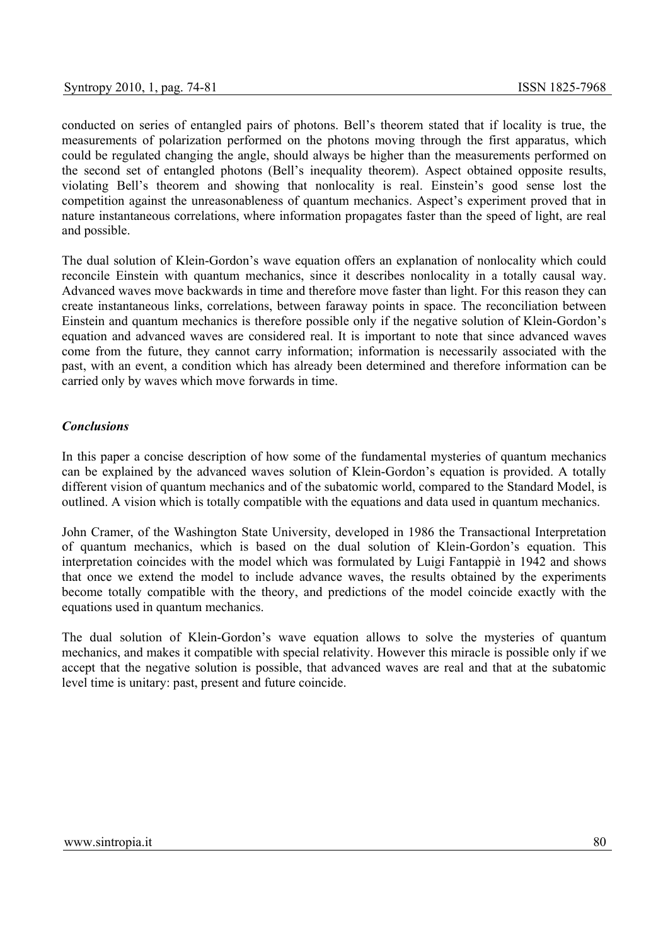conducted on series of entangled pairs of photons. Bell's theorem stated that if locality is true, the measurements of polarization performed on the photons moving through the first apparatus, which could be regulated changing the angle, should always be higher than the measurements performed on the second set of entangled photons (Bell's inequality theorem). Aspect obtained opposite results, violating Bell's theorem and showing that nonlocality is real. Einstein's good sense lost the competition against the unreasonableness of quantum mechanics. Aspect's experiment proved that in nature instantaneous correlations, where information propagates faster than the speed of light, are real and possible.

The dual solution of Klein-Gordon's wave equation offers an explanation of nonlocality which could reconcile Einstein with quantum mechanics, since it describes nonlocality in a totally causal way. Advanced waves move backwards in time and therefore move faster than light. For this reason they can create instantaneous links, correlations, between faraway points in space. The reconciliation between Einstein and quantum mechanics is therefore possible only if the negative solution of Klein-Gordon's equation and advanced waves are considered real. It is important to note that since advanced waves come from the future, they cannot carry information; information is necessarily associated with the past, with an event, a condition which has already been determined and therefore information can be carried only by waves which move forwards in time.

## *Conclusions*

In this paper a concise description of how some of the fundamental mysteries of quantum mechanics can be explained by the advanced waves solution of Klein-Gordon's equation is provided. A totally different vision of quantum mechanics and of the subatomic world, compared to the Standard Model, is outlined. A vision which is totally compatible with the equations and data used in quantum mechanics.

John Cramer, of the Washington State University, developed in 1986 the Transactional Interpretation of quantum mechanics, which is based on the dual solution of Klein-Gordon's equation. This interpretation coincides with the model which was formulated by Luigi Fantappiè in 1942 and shows that once we extend the model to include advance waves, the results obtained by the experiments become totally compatible with the theory, and predictions of the model coincide exactly with the equations used in quantum mechanics.

The dual solution of Klein-Gordon's wave equation allows to solve the mysteries of quantum mechanics, and makes it compatible with special relativity. However this miracle is possible only if we accept that the negative solution is possible, that advanced waves are real and that at the subatomic level time is unitary: past, present and future coincide.